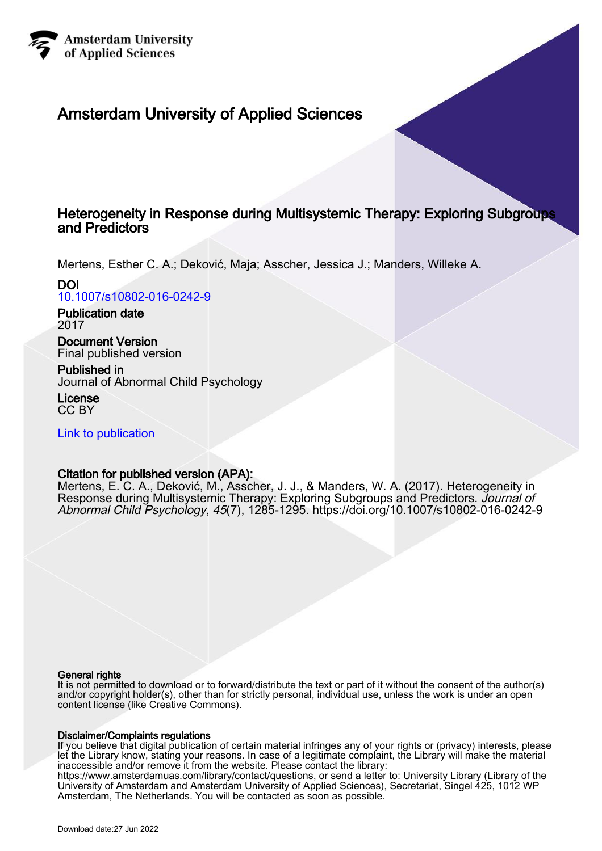

# Amsterdam University of Applied Sciences

# Heterogeneity in Response during Multisystemic Therapy: Exploring Subgroups and Predictors

Mertens, Esther C. A.; Deković, Maja; Asscher, Jessica J.; Manders, Willeke A.

# DOI

[10.1007/s10802-016-0242-9](https://doi.org/10.1007/s10802-016-0242-9)

Publication date 2017

Document Version Final published version

Published in Journal of Abnormal Child Psychology

License CC BY

[Link to publication](https://research.hva.nl/en/publications/eedf847a-3d48-458c-8ac1-728aeca0d541)

## Citation for published version (APA):

Mertens, E. C. A., Deković, M., Asscher, J. J., & Manders, W. A. (2017). Heterogeneity in Response during Multisystemic Therapy: Exploring Subgroups and Predictors. Journal of Abnormal Child Psychology, 45(7), 1285-1295. <https://doi.org/10.1007/s10802-016-0242-9>

## General rights

It is not permitted to download or to forward/distribute the text or part of it without the consent of the author(s) and/or copyright holder(s), other than for strictly personal, individual use, unless the work is under an open content license (like Creative Commons).

## Disclaimer/Complaints regulations

If you believe that digital publication of certain material infringes any of your rights or (privacy) interests, please let the Library know, stating your reasons. In case of a legitimate complaint, the Library will make the material inaccessible and/or remove it from the website. Please contact the library:

https://www.amsterdamuas.com/library/contact/questions, or send a letter to: University Library (Library of the University of Amsterdam and Amsterdam University of Applied Sciences), Secretariat, Singel 425, 1012 WP Amsterdam, The Netherlands. You will be contacted as soon as possible.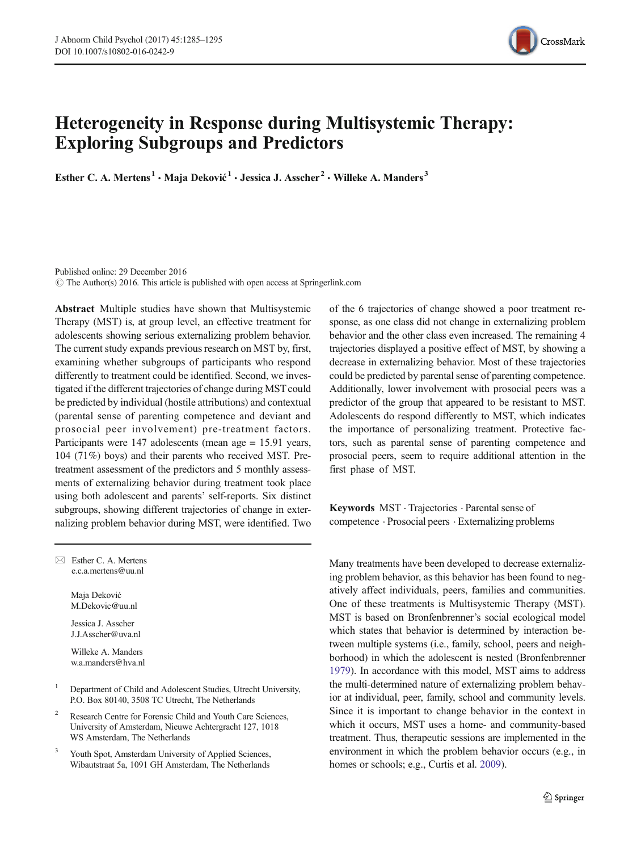

# Heterogeneity in Response during Multisystemic Therapy: Exploring Subgroups and Predictors

Esther C. A. Mertens<sup>1</sup> • Maja Deković<sup>1</sup> • Jessica J. Asscher<sup>2</sup> • Willeke A. Manders<sup>3</sup>

Published online: 29 December 2016  $\odot$  The Author(s) 2016. This article is published with open access at Springerlink.com

Abstract Multiple studies have shown that Multisystemic Therapy (MST) is, at group level, an effective treatment for adolescents showing serious externalizing problem behavior. The current study expands previous research on MST by, first, examining whether subgroups of participants who respond differently to treatment could be identified. Second, we investigated if the different trajectories of change during MST could be predicted by individual (hostile attributions) and contextual (parental sense of parenting competence and deviant and prosocial peer involvement) pre-treatment factors. Participants were 147 adolescents (mean age = 15.91 years, 104 (71%) boys) and their parents who received MST. Pretreatment assessment of the predictors and 5 monthly assessments of externalizing behavior during treatment took place using both adolescent and parents' self-reports. Six distinct subgroups, showing different trajectories of change in externalizing problem behavior during MST, were identified. Two

 $\boxtimes$  Esther C. A. Mertens e.c.a.mertens@uu.nl

> Maja Deković M.Dekovic@uu.nl

Jessica J. Asscher J.J.Asscher@uva.nl

Willeke A. Manders w.a.manders@hva.nl

- <sup>1</sup> Department of Child and Adolescent Studies, Utrecht University, P.O. Box 80140, 3508 TC Utrecht, The Netherlands
- Research Centre for Forensic Child and Youth Care Sciences, University of Amsterdam, Nieuwe Achtergracht 127, 1018 WS Amsterdam, The Netherlands
- Youth Spot, Amsterdam University of Applied Sciences, Wibautstraat 5a, 1091 GH Amsterdam, The Netherlands

of the 6 trajectories of change showed a poor treatment response, as one class did not change in externalizing problem behavior and the other class even increased. The remaining 4 trajectories displayed a positive effect of MST, by showing a decrease in externalizing behavior. Most of these trajectories could be predicted by parental sense of parenting competence. Additionally, lower involvement with prosocial peers was a predictor of the group that appeared to be resistant to MST. Adolescents do respond differently to MST, which indicates the importance of personalizing treatment. Protective factors, such as parental sense of parenting competence and prosocial peers, seem to require additional attention in the first phase of MST.

Keywords MST . Trajectories . Parental sense of competence . Prosocial peers . Externalizing problems

Many treatments have been developed to decrease externalizing problem behavior, as this behavior has been found to negatively affect individuals, peers, families and communities. One of these treatments is Multisystemic Therapy (MST). MST is based on Bronfenbrenner's social ecological model which states that behavior is determined by interaction between multiple systems (i.e., family, school, peers and neighborhood) in which the adolescent is nested (Bronfenbrenner [1979\)](#page-10-0). In accordance with this model, MST aims to address the multi-determined nature of externalizing problem behavior at individual, peer, family, school and community levels. Since it is important to change behavior in the context in which it occurs, MST uses a home- and community-based treatment. Thus, therapeutic sessions are implemented in the environment in which the problem behavior occurs (e.g., in homes or schools; e.g., Curtis et al. [2009\)](#page-10-0).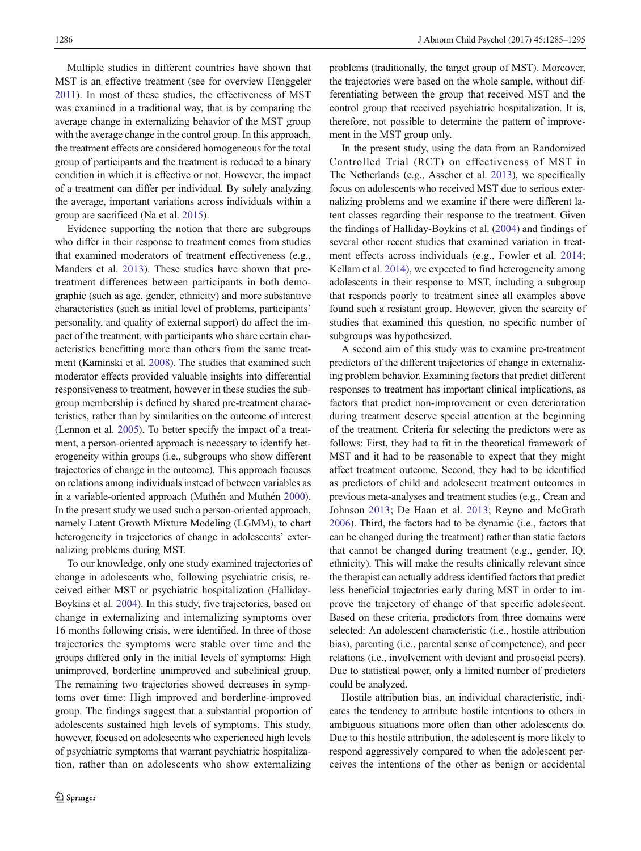Multiple studies in different countries have shown that MST is an effective treatment (see for overview Henggeler [2011\)](#page-11-0). In most of these studies, the effectiveness of MST was examined in a traditional way, that is by comparing the average change in externalizing behavior of the MST group with the average change in the control group. In this approach, the treatment effects are considered homogeneous for the total group of participants and the treatment is reduced to a binary condition in which it is effective or not. However, the impact of a treatment can differ per individual. By solely analyzing the average, important variations across individuals within a group are sacrificed (Na et al. [2015\)](#page-11-0).

Evidence supporting the notion that there are subgroups who differ in their response to treatment comes from studies that examined moderators of treatment effectiveness (e.g., Manders et al. [2013\)](#page-11-0). These studies have shown that pretreatment differences between participants in both demographic (such as age, gender, ethnicity) and more substantive characteristics (such as initial level of problems, participants' personality, and quality of external support) do affect the impact of the treatment, with participants who share certain characteristics benefitting more than others from the same treatment (Kaminski et al. [2008\)](#page-11-0). The studies that examined such moderator effects provided valuable insights into differential responsiveness to treatment, however in these studies the subgroup membership is defined by shared pre-treatment characteristics, rather than by similarities on the outcome of interest (Lennon et al. [2005\)](#page-11-0). To better specify the impact of a treatment, a person-oriented approach is necessary to identify heterogeneity within groups (i.e., subgroups who show different trajectories of change in the outcome). This approach focuses on relations among individuals instead of between variables as in a variable-oriented approach (Muthén and Muthén [2000\)](#page-11-0). In the present study we used such a person-oriented approach, namely Latent Growth Mixture Modeling (LGMM), to chart heterogeneity in trajectories of change in adolescents' externalizing problems during MST.

To our knowledge, only one study examined trajectories of change in adolescents who, following psychiatric crisis, received either MST or psychiatric hospitalization (Halliday-Boykins et al. [2004\)](#page-10-0). In this study, five trajectories, based on change in externalizing and internalizing symptoms over 16 months following crisis, were identified. In three of those trajectories the symptoms were stable over time and the groups differed only in the initial levels of symptoms: High unimproved, borderline unimproved and subclinical group. The remaining two trajectories showed decreases in symptoms over time: High improved and borderline-improved group. The findings suggest that a substantial proportion of adolescents sustained high levels of symptoms. This study, however, focused on adolescents who experienced high levels of psychiatric symptoms that warrant psychiatric hospitalization, rather than on adolescents who show externalizing

problems (traditionally, the target group of MST). Moreover, the trajectories were based on the whole sample, without differentiating between the group that received MST and the control group that received psychiatric hospitalization. It is, therefore, not possible to determine the pattern of improvement in the MST group only.

In the present study, using the data from an Randomized Controlled Trial (RCT) on effectiveness of MST in The Netherlands (e.g., Asscher et al. [2013\)](#page-10-0), we specifically focus on adolescents who received MST due to serious externalizing problems and we examine if there were different latent classes regarding their response to the treatment. Given the findings of Halliday-Boykins et al. [\(2004\)](#page-10-0) and findings of several other recent studies that examined variation in treatment effects across individuals (e.g., Fowler et al. [2014;](#page-10-0) Kellam et al. [2014](#page-11-0)), we expected to find heterogeneity among adolescents in their response to MST, including a subgroup that responds poorly to treatment since all examples above found such a resistant group. However, given the scarcity of studies that examined this question, no specific number of subgroups was hypothesized.

A second aim of this study was to examine pre-treatment predictors of the different trajectories of change in externalizing problem behavior. Examining factors that predict different responses to treatment has important clinical implications, as factors that predict non-improvement or even deterioration during treatment deserve special attention at the beginning of the treatment. Criteria for selecting the predictors were as follows: First, they had to fit in the theoretical framework of MST and it had to be reasonable to expect that they might affect treatment outcome. Second, they had to be identified as predictors of child and adolescent treatment outcomes in previous meta-analyses and treatment studies (e.g., Crean and Johnson [2013;](#page-10-0) De Haan et al. [2013;](#page-10-0) Reyno and McGrath [2006\)](#page-11-0). Third, the factors had to be dynamic (i.e., factors that can be changed during the treatment) rather than static factors that cannot be changed during treatment (e.g., gender, IQ, ethnicity). This will make the results clinically relevant since the therapist can actually address identified factors that predict less beneficial trajectories early during MST in order to improve the trajectory of change of that specific adolescent. Based on these criteria, predictors from three domains were selected: An adolescent characteristic (i.e., hostile attribution bias), parenting (i.e., parental sense of competence), and peer relations (i.e., involvement with deviant and prosocial peers). Due to statistical power, only a limited number of predictors could be analyzed.

Hostile attribution bias, an individual characteristic, indicates the tendency to attribute hostile intentions to others in ambiguous situations more often than other adolescents do. Due to this hostile attribution, the adolescent is more likely to respond aggressively compared to when the adolescent perceives the intentions of the other as benign or accidental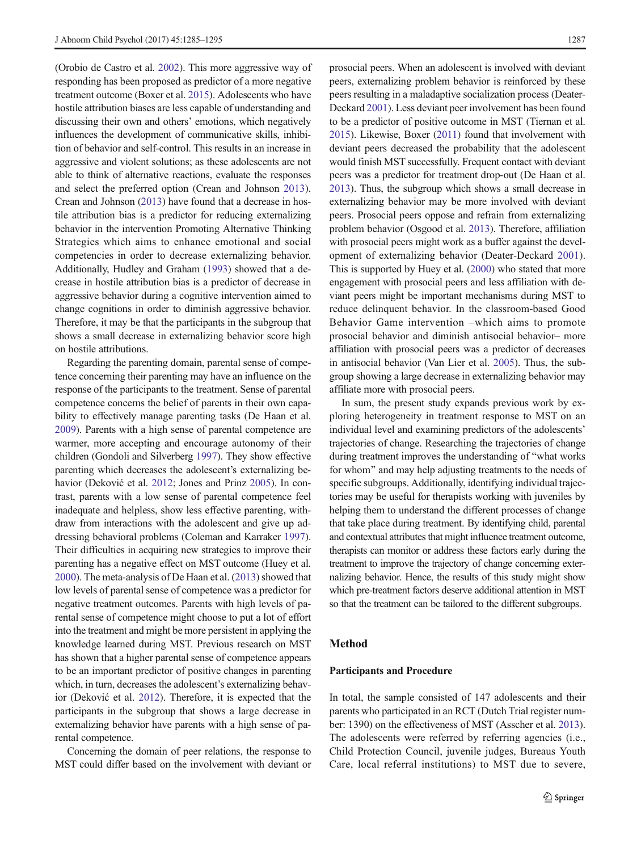(Orobio de Castro et al. [2002\)](#page-11-0). This more aggressive way of responding has been proposed as predictor of a more negative treatment outcome (Boxer et al. [2015](#page-10-0)). Adolescents who have hostile attribution biases are less capable of understanding and discussing their own and others' emotions, which negatively influences the development of communicative skills, inhibition of behavior and self-control. This results in an increase in aggressive and violent solutions; as these adolescents are not able to think of alternative reactions, evaluate the responses and select the preferred option (Crean and Johnson [2013](#page-10-0)). Crean and Johnson [\(2013\)](#page-10-0) have found that a decrease in hostile attribution bias is a predictor for reducing externalizing behavior in the intervention Promoting Alternative Thinking Strategies which aims to enhance emotional and social competencies in order to decrease externalizing behavior. Additionally, Hudley and Graham [\(1993\)](#page-11-0) showed that a decrease in hostile attribution bias is a predictor of decrease in aggressive behavior during a cognitive intervention aimed to change cognitions in order to diminish aggressive behavior. Therefore, it may be that the participants in the subgroup that shows a small decrease in externalizing behavior score high on hostile attributions.

Regarding the parenting domain, parental sense of competence concerning their parenting may have an influence on the response of the participants to the treatment. Sense of parental competence concerns the belief of parents in their own capability to effectively manage parenting tasks (De Haan et al. [2009\)](#page-10-0). Parents with a high sense of parental competence are warmer, more accepting and encourage autonomy of their children (Gondoli and Silverberg [1997\)](#page-10-0). They show effective parenting which decreases the adolescent's externalizing behavior (Deković et al. [2012;](#page-10-0) Jones and Prinz [2005\)](#page-11-0). In contrast, parents with a low sense of parental competence feel inadequate and helpless, show less effective parenting, withdraw from interactions with the adolescent and give up addressing behavioral problems (Coleman and Karraker [1997\)](#page-10-0). Their difficulties in acquiring new strategies to improve their parenting has a negative effect on MST outcome (Huey et al. [2000\)](#page-11-0). The meta-analysis of De Haan et al. [\(2013](#page-10-0)) showed that low levels of parental sense of competence was a predictor for negative treatment outcomes. Parents with high levels of parental sense of competence might choose to put a lot of effort into the treatment and might be more persistent in applying the knowledge learned during MST. Previous research on MST has shown that a higher parental sense of competence appears to be an important predictor of positive changes in parenting which, in turn, decreases the adolescent's externalizing behavior (Deković et al. [2012](#page-10-0)). Therefore, it is expected that the participants in the subgroup that shows a large decrease in externalizing behavior have parents with a high sense of parental competence.

Concerning the domain of peer relations, the response to MST could differ based on the involvement with deviant or

prosocial peers. When an adolescent is involved with deviant peers, externalizing problem behavior is reinforced by these peers resulting in a maladaptive socialization process (Deater-Deckard [2001](#page-10-0)). Less deviant peer involvement has been found to be a predictor of positive outcome in MST (Tiernan et al. [2015\)](#page-11-0). Likewise, Boxer ([2011](#page-10-0)) found that involvement with deviant peers decreased the probability that the adolescent would finish MST successfully. Frequent contact with deviant peers was a predictor for treatment drop-out (De Haan et al. [2013\)](#page-10-0). Thus, the subgroup which shows a small decrease in externalizing behavior may be more involved with deviant peers. Prosocial peers oppose and refrain from externalizing problem behavior (Osgood et al. [2013](#page-11-0)). Therefore, affiliation with prosocial peers might work as a buffer against the development of externalizing behavior (Deater-Deckard [2001](#page-10-0)). This is supported by Huey et al. [\(2000\)](#page-11-0) who stated that more engagement with prosocial peers and less affiliation with deviant peers might be important mechanisms during MST to reduce delinquent behavior. In the classroom-based Good Behavior Game intervention –which aims to promote prosocial behavior and diminish antisocial behavior– more affiliation with prosocial peers was a predictor of decreases in antisocial behavior (Van Lier et al. [2005](#page-11-0)). Thus, the subgroup showing a large decrease in externalizing behavior may affiliate more with prosocial peers.

In sum, the present study expands previous work by exploring heterogeneity in treatment response to MST on an individual level and examining predictors of the adolescents' trajectories of change. Researching the trajectories of change during treatment improves the understanding of "what works" for whom" and may help adjusting treatments to the needs of specific subgroups. Additionally, identifying individual trajectories may be useful for therapists working with juveniles by helping them to understand the different processes of change that take place during treatment. By identifying child, parental and contextual attributes that might influence treatment outcome, therapists can monitor or address these factors early during the treatment to improve the trajectory of change concerning externalizing behavior. Hence, the results of this study might show which pre-treatment factors deserve additional attention in MST so that the treatment can be tailored to the different subgroups.

#### Method

#### Participants and Procedure

In total, the sample consisted of 147 adolescents and their parents who participated in an RCT (Dutch Trial register number: 1390) on the effectiveness of MST (Asscher et al. [2013\)](#page-10-0). The adolescents were referred by referring agencies (i.e., Child Protection Council, juvenile judges, Bureaus Youth Care, local referral institutions) to MST due to severe,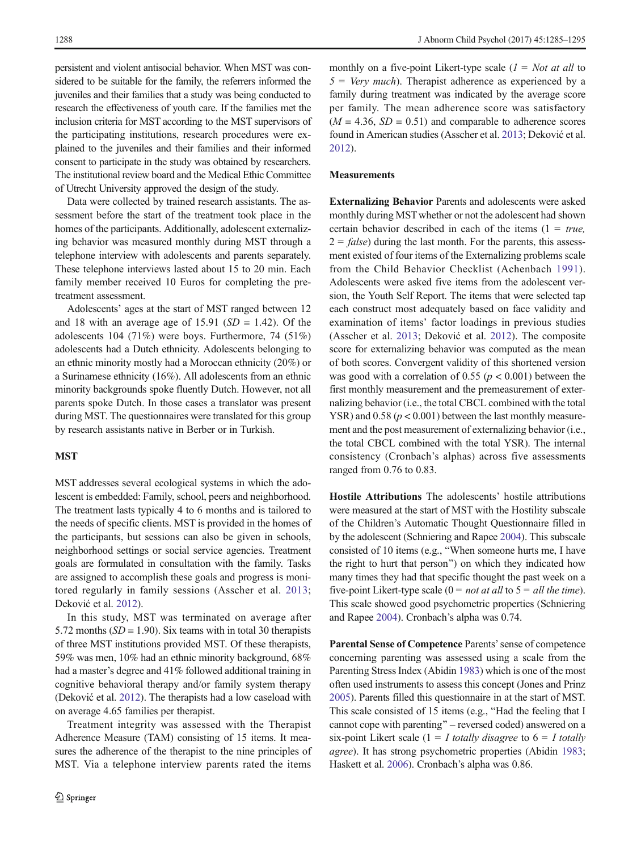persistent and violent antisocial behavior. When MST was considered to be suitable for the family, the referrers informed the juveniles and their families that a study was being conducted to research the effectiveness of youth care. If the families met the inclusion criteria for MST according to the MST supervisors of the participating institutions, research procedures were explained to the juveniles and their families and their informed consent to participate in the study was obtained by researchers. The institutional review board and the Medical Ethic Committee of Utrecht University approved the design of the study.

Data were collected by trained research assistants. The assessment before the start of the treatment took place in the homes of the participants. Additionally, adolescent externalizing behavior was measured monthly during MST through a telephone interview with adolescents and parents separately. These telephone interviews lasted about 15 to 20 min. Each family member received 10 Euros for completing the pretreatment assessment.

Adolescents' ages at the start of MST ranged between 12 and 18 with an average age of 15.91 ( $SD = 1.42$ ). Of the adolescents 104 (71%) were boys. Furthermore, 74 (51%) adolescents had a Dutch ethnicity. Adolescents belonging to an ethnic minority mostly had a Moroccan ethnicity (20%) or a Surinamese ethnicity (16%). All adolescents from an ethnic minority backgrounds spoke fluently Dutch. However, not all parents spoke Dutch. In those cases a translator was present during MST. The questionnaires were translated for this group by research assistants native in Berber or in Turkish.

#### **MST**

MST addresses several ecological systems in which the adolescent is embedded: Family, school, peers and neighborhood. The treatment lasts typically 4 to 6 months and is tailored to the needs of specific clients. MST is provided in the homes of the participants, but sessions can also be given in schools, neighborhood settings or social service agencies. Treatment goals are formulated in consultation with the family. Tasks are assigned to accomplish these goals and progress is monitored regularly in family sessions (Asscher et al. [2013](#page-10-0); Deković et al. [2012\)](#page-10-0).

In this study, MST was terminated on average after 5.72 months  $(SD = 1.90)$ . Six teams with in total 30 therapists of three MST institutions provided MST. Of these therapists, 59% was men, 10% had an ethnic minority background, 68% had a master's degree and 41% followed additional training in cognitive behavioral therapy and/or family system therapy (Deković et al. [2012](#page-10-0)). The therapists had a low caseload with on average 4.65 families per therapist.

Treatment integrity was assessed with the Therapist Adherence Measure (TAM) consisting of 15 items. It measures the adherence of the therapist to the nine principles of MST. Via a telephone interview parents rated the items

monthly on a five-point Likert-type scale  $(I = Not at all to$  $5 = \text{Very much}$ . Therapist adherence as experienced by a family during treatment was indicated by the average score per family. The mean adherence score was satisfactory  $(M = 4.36, SD = 0.51)$  and comparable to adherence scores found in American studies (Asscher et al. [2013](#page-10-0); Deković et al. [2012\)](#page-10-0).

#### **Measurements**

Externalizing Behavior Parents and adolescents were asked monthly during MSTwhether or not the adolescent had shown certain behavior described in each of the items  $(1 = true,$  $2 = false$ ) during the last month. For the parents, this assessment existed of four items of the Externalizing problems scale from the Child Behavior Checklist (Achenbach [1991](#page-10-0)). Adolescents were asked five items from the adolescent version, the Youth Self Report. The items that were selected tap each construct most adequately based on face validity and examination of items' factor loadings in previous studies (Asscher et al. [2013](#page-10-0); Deković et al. [2012\)](#page-10-0). The composite score for externalizing behavior was computed as the mean of both scores. Convergent validity of this shortened version was good with a correlation of 0.55 ( $p < 0.001$ ) between the first monthly measurement and the premeasurement of externalizing behavior (i.e., the total CBCL combined with the total YSR) and  $0.58$  ( $p < 0.001$ ) between the last monthly measurement and the post measurement of externalizing behavior (i.e., the total CBCL combined with the total YSR). The internal consistency (Cronbach's alphas) across five assessments ranged from 0.76 to 0.83.

Hostile Attributions The adolescents' hostile attributions were measured at the start of MST with the Hostility subscale of the Children's Automatic Thought Questionnaire filled in by the adolescent (Schniering and Rapee [2004](#page-11-0)). This subscale consisted of 10 items (e.g., "When someone hurts me, I have the right to hurt that person^) on which they indicated how many times they had that specific thought the past week on a five-point Likert-type scale  $(0 = not at all to 5 = all the time)$ . This scale showed good psychometric properties (Schniering and Rapee [2004](#page-11-0)). Cronbach's alpha was 0.74.

Parental Sense of Competence Parents'sense of competence concerning parenting was assessed using a scale from the Parenting Stress Index (Abidin [1983\)](#page-10-0) which is one of the most often used instruments to assess this concept (Jones and Prinz [2005\)](#page-11-0). Parents filled this questionnaire in at the start of MST. This scale consisted of 15 items (e.g., "Had the feeling that I cannot cope with parenting^ – reversed coded) answered on a six-point Likert scale  $(1 = I$  totally disagree to  $6 = I$  totally agree). It has strong psychometric properties (Abidin [1983;](#page-10-0) Haskett et al. [2006](#page-11-0)). Cronbach's alpha was 0.86.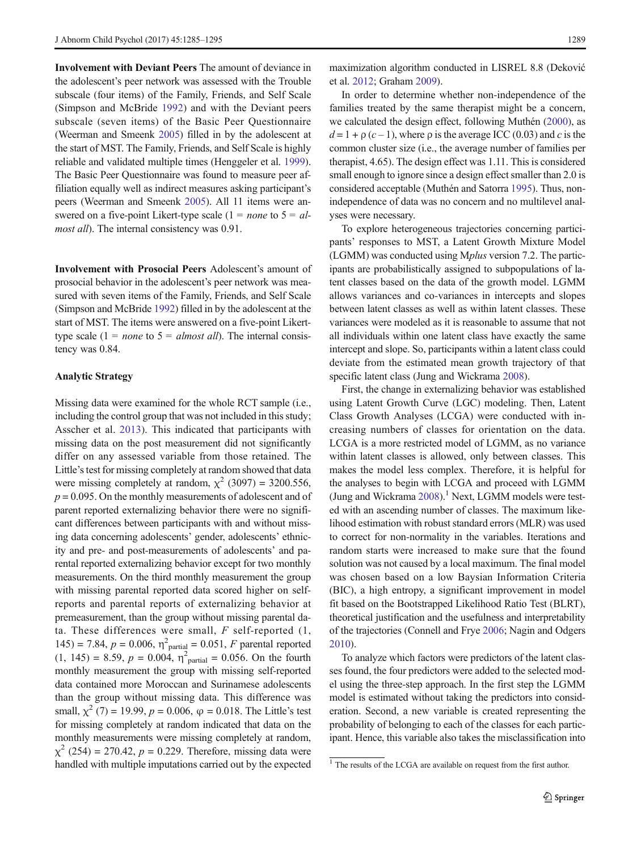Involvement with Deviant Peers The amount of deviance in the adolescent's peer network was assessed with the Trouble subscale (four items) of the Family, Friends, and Self Scale (Simpson and McBride [1992](#page-11-0)) and with the Deviant peers subscale (seven items) of the Basic Peer Questionnaire (Weerman and Smeenk [2005](#page-11-0)) filled in by the adolescent at the start of MST. The Family, Friends, and Self Scale is highly reliable and validated multiple times (Henggeler et al. [1999\)](#page-11-0). The Basic Peer Questionnaire was found to measure peer affiliation equally well as indirect measures asking participant's peers (Weerman and Smeenk [2005](#page-11-0)). All 11 items were answered on a five-point Likert-type scale  $(1 = none)$  to  $5 = al$ most all). The internal consistency was 0.91.

Involvement with Prosocial Peers Adolescent's amount of prosocial behavior in the adolescent's peer network was measured with seven items of the Family, Friends, and Self Scale (Simpson and McBride [1992\)](#page-11-0) filled in by the adolescent at the start of MST. The items were answered on a five-point Likerttype scale (1 = *none* to 5 = *almost all*). The internal consistency was 0.84.

#### Analytic Strategy

Missing data were examined for the whole RCT sample (i.e., including the control group that was not included in this study; Asscher et al. [2013](#page-10-0)). This indicated that participants with missing data on the post measurement did not significantly differ on any assessed variable from those retained. The Little's test for missing completely at random showed that data were missing completely at random,  $\chi^2$  (3097) = 3200.556,  $p = 0.095$ . On the monthly measurements of adolescent and of parent reported externalizing behavior there were no significant differences between participants with and without missing data concerning adolescents' gender, adolescents' ethnicity and pre- and post-measurements of adolescents' and parental reported externalizing behavior except for two monthly measurements. On the third monthly measurement the group with missing parental reported data scored higher on selfreports and parental reports of externalizing behavior at premeasurement, than the group without missing parental data. These differences were small,  $F$  self-reported  $(1,$ 145) = 7.84,  $p = 0.006$ ,  $\eta^2$ <sub>partial</sub> = 0.051, *F* parental reported  $(1, 145) = 8.59, p = 0.004, \eta^2$ <sub>partial</sub> = 0.056. On the fourth monthly measurement the group with missing self-reported data contained more Moroccan and Surinamese adolescents than the group without missing data. This difference was small,  $\chi^2$  (7) = 19.99, p = 0.006,  $\varphi$  = 0.018. The Little's test for missing completely at random indicated that data on the monthly measurements were missing completely at random,  $\chi^2$  (254) = 270.42, p = 0.229. Therefore, missing data were handled with multiple imputations carried out by the expected maximization algorithm conducted in LISREL 8.8 (Deković et al. [2012](#page-10-0); Graham [2009\)](#page-10-0).

In order to determine whether non-independence of the families treated by the same therapist might be a concern, we calculated the design effect, following Muthén [\(2000\)](#page-11-0), as  $d = 1 + \rho (c - 1)$ , where  $\rho$  is the average ICC (0.03) and c is the common cluster size (i.e., the average number of families per therapist, 4.65). The design effect was 1.11. This is considered small enough to ignore since a design effect smaller than 2.0 is considered acceptable (Muthén and Satorra [1995](#page-11-0)). Thus, nonindependence of data was no concern and no multilevel analyses were necessary.

To explore heterogeneous trajectories concerning participants' responses to MST, a Latent Growth Mixture Model (LGMM) was conducted using Mplus version 7.2. The participants are probabilistically assigned to subpopulations of latent classes based on the data of the growth model. LGMM allows variances and co-variances in intercepts and slopes between latent classes as well as within latent classes. These variances were modeled as it is reasonable to assume that not all individuals within one latent class have exactly the same intercept and slope. So, participants within a latent class could deviate from the estimated mean growth trajectory of that specific latent class (Jung and Wickrama [2008](#page-11-0)).

First, the change in externalizing behavior was established using Latent Growth Curve (LGC) modeling. Then, Latent Class Growth Analyses (LCGA) were conducted with increasing numbers of classes for orientation on the data. LCGA is a more restricted model of LGMM, as no variance within latent classes is allowed, only between classes. This makes the model less complex. Therefore, it is helpful for the analyses to begin with LCGA and proceed with LGMM (Jung and Wickrama  $2008$ ).<sup>1</sup> Next, LGMM models were tested with an ascending number of classes. The maximum likelihood estimation with robust standard errors (MLR) was used to correct for non-normality in the variables. Iterations and random starts were increased to make sure that the found solution was not caused by a local maximum. The final model was chosen based on a low Baysian Information Criteria (BIC), a high entropy, a significant improvement in model fit based on the Bootstrapped Likelihood Ratio Test (BLRT), theoretical justification and the usefulness and interpretability of the trajectories (Connell and Frye [2006](#page-10-0); Nagin and Odgers [2010\)](#page-11-0).

To analyze which factors were predictors of the latent classes found, the four predictors were added to the selected model using the three-step approach. In the first step the LGMM model is estimated without taking the predictors into consideration. Second, a new variable is created representing the probability of belonging to each of the classes for each participant. Hence, this variable also takes the misclassification into

<sup>&</sup>lt;sup>1</sup> The results of the LCGA are available on request from the first author.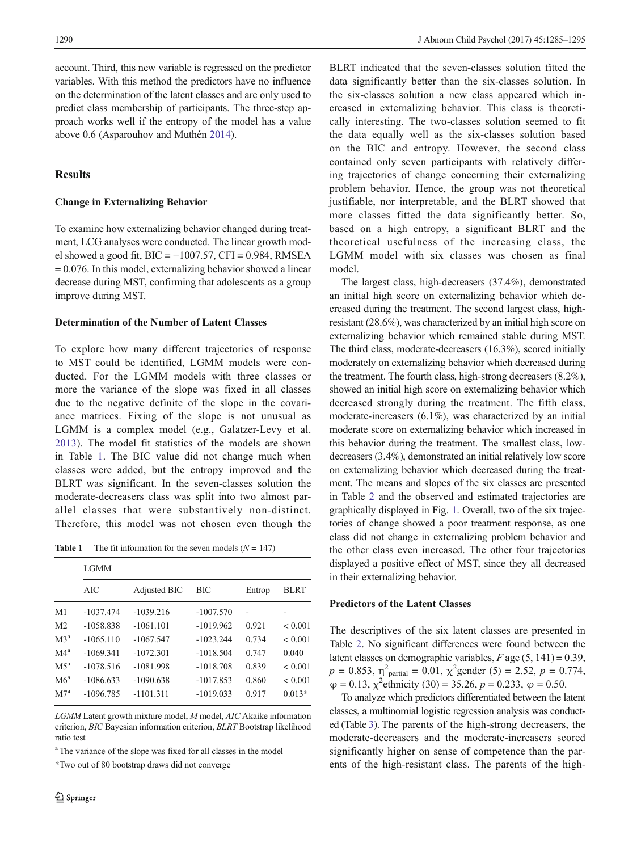account. Third, this new variable is regressed on the predictor variables. With this method the predictors have no influence on the determination of the latent classes and are only used to predict class membership of participants. The three-step approach works well if the entropy of the model has a value above 0.6 (Asparouhov and Muthén [2014](#page-10-0)).

#### Results

#### Change in Externalizing Behavior

To examine how externalizing behavior changed during treatment, LCG analyses were conducted. The linear growth model showed a good fit, BIC =  $-1007.57$ , CFI = 0.984, RMSEA  $= 0.076$ . In this model, externalizing behavior showed a linear decrease during MST, confirming that adolescents as a group improve during MST.

#### Determination of the Number of Latent Classes

To explore how many different trajectories of response to MST could be identified, LGMM models were conducted. For the LGMM models with three classes or more the variance of the slope was fixed in all classes due to the negative definite of the slope in the covariance matrices. Fixing of the slope is not unusual as LGMM is a complex model (e.g., Galatzer-Levy et al. [2013](#page-10-0)). The model fit statistics of the models are shown in Table 1. The BIC value did not change much when classes were added, but the entropy improved and the BLRT was significant. In the seven-classes solution the moderate-decreasers class was split into two almost parallel classes that were substantively non-distinct. Therefore, this model was not chosen even though the

**Table 1** The fit information for the seven models  $(N = 147)$ 

|                 | <b>LGMM</b> |                     |             |        |             |  |  |  |
|-----------------|-------------|---------------------|-------------|--------|-------------|--|--|--|
|                 | AIC         | <b>Adjusted BIC</b> | ВIС         | Entrop | <b>BLRT</b> |  |  |  |
| M1              | $-1037.474$ | $-1039.216$         | $-1007.570$ |        |             |  |  |  |
| M <sub>2</sub>  | $-1058.838$ | $-1061.101$         | $-1019.962$ | 0.921  | < 0.001     |  |  |  |
| $M3^a$          | $-1065.110$ | $-1067.547$         | $-1023.244$ | 0.734  | < 0.001     |  |  |  |
| M4 <sup>a</sup> | $-1069.341$ | $-1072.301$         | $-1018.504$ | 0.747  | 0.040       |  |  |  |
| $M5^a$          | $-1078.516$ | $-1081.998$         | $-1018.708$ | 0.839  | < 0.001     |  |  |  |
| M6 <sup>a</sup> | $-1086.633$ | $-1090.638$         | $-1017.853$ | 0.860  | < 0.001     |  |  |  |
| M7 <sup>a</sup> | $-1096.785$ | $-1101.311$         | $-1019.033$ | 0.917  | $0.013*$    |  |  |  |

LGMM Latent growth mixture model, M model, AIC Akaike information criterion, BIC Bayesian information criterion, BLRT Bootstrap likelihood ratio test

<sup>a</sup> The variance of the slope was fixed for all classes in the model

\*Two out of 80 bootstrap draws did not converge

BLRT indicated that the seven-classes solution fitted the data significantly better than the six-classes solution. In the six-classes solution a new class appeared which increased in externalizing behavior. This class is theoretically interesting. The two-classes solution seemed to fit the data equally well as the six-classes solution based on the BIC and entropy. However, the second class contained only seven participants with relatively differing trajectories of change concerning their externalizing problem behavior. Hence, the group was not theoretical justifiable, nor interpretable, and the BLRT showed that more classes fitted the data significantly better. So, based on a high entropy, a significant BLRT and the theoretical usefulness of the increasing class, the LGMM model with six classes was chosen as final model.

The largest class, high-decreasers (37.4%), demonstrated an initial high score on externalizing behavior which decreased during the treatment. The second largest class, highresistant (28.6%), was characterized by an initial high score on externalizing behavior which remained stable during MST. The third class, moderate-decreasers (16.3%), scored initially moderately on externalizing behavior which decreased during the treatment. The fourth class, high-strong decreasers (8.2%), showed an initial high score on externalizing behavior which decreased strongly during the treatment. The fifth class, moderate-increasers (6.1%), was characterized by an initial moderate score on externalizing behavior which increased in this behavior during the treatment. The smallest class, lowdecreasers (3.4%), demonstrated an initial relatively low score on externalizing behavior which decreased during the treatment. The means and slopes of the six classes are presented in Table [2](#page-7-0) and the observed and estimated trajectories are graphically displayed in Fig. [1.](#page-7-0) Overall, two of the six trajectories of change showed a poor treatment response, as one class did not change in externalizing problem behavior and the other class even increased. The other four trajectories displayed a positive effect of MST, since they all decreased in their externalizing behavior.

#### Predictors of the Latent Classes

The descriptives of the six latent classes are presented in Table [2](#page-7-0). No significant differences were found between the latent classes on demographic variables,  $F$  age (5, 141) = 0.39,  $p = 0.853$ ,  $\eta_{\text{partial}}^2 = 0.01$ ,  $\chi^2$ gender (5) = 2.52,  $p = 0.774$ ,  $\varphi = 0.13$ ,  $\chi^2$ ethnicity (30) = 35.26,  $p = 0.233$ ,  $\varphi = 0.50$ .

To analyze which predictors differentiated between the latent classes, a multinomial logistic regression analysis was conducted (Table [3](#page-8-0)). The parents of the high-strong decreasers, the moderate-decreasers and the moderate-increasers scored significantly higher on sense of competence than the parents of the high-resistant class. The parents of the high-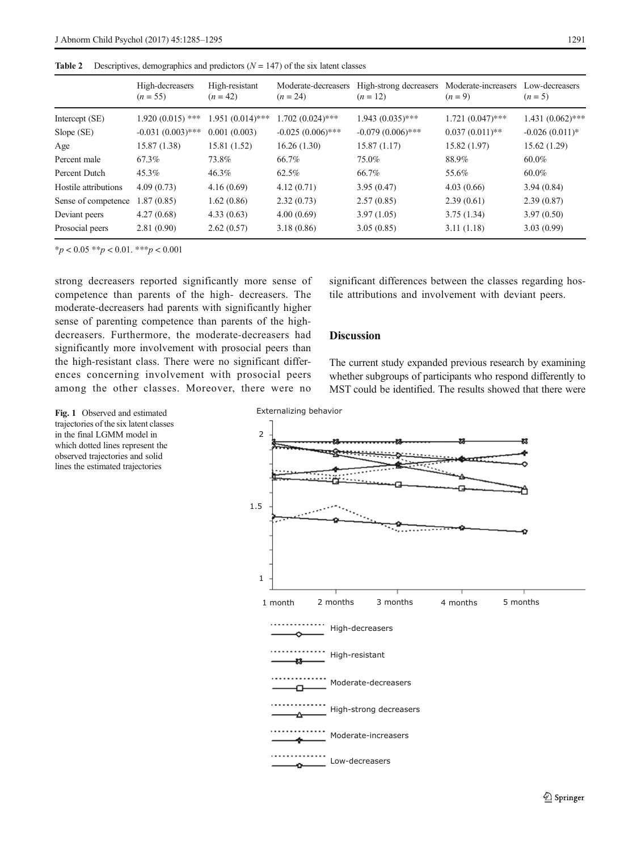### <span id="page-7-0"></span>**Table 2** Descriptives, demographics and predictors  $(N = 147)$  of the six latent classes

|                      | High-decreasers<br>$(n = 55)$ | High-resistant<br>$(n = 42)$ | Moderate-decreasers<br>$(n = 24)$ | High-strong decreasers<br>$(n = 12)$ | Moderate-increasers<br>$(n = 9)$ | Low-decreasers<br>$(n = 5)$ |
|----------------------|-------------------------------|------------------------------|-----------------------------------|--------------------------------------|----------------------------------|-----------------------------|
| Intercept (SE)       | $1.920(0.015)$ ***            | $1.951(0.014)$ ***           | $1.702(0.024)$ ***                | $1.943(0.035)$ ***                   | $1.721(0.047)$ ***               | $1.431(0.062)$ ***          |
| Slope (SE)           | $-0.031(0.003)$ ***           | 0.001(0.003)                 | $-0.025(0.006)$ ***               | $-0.079(0.006)$ ***                  | $0.037(0.011)$ **                | $-0.026(0.011)*$            |
| Age                  | 15.87 (1.38)                  | 15.81(1.52)                  | 16.26(1.30)                       | 15.87(1.17)                          | 15.82 (1.97)                     | 15.62(1.29)                 |
| Percent male         | 67.3%                         | 73.8%                        | 66.7%                             | 75.0%                                | 88.9%                            | $60.0\%$                    |
| Percent Dutch        | $45.3\%$                      | 46.3%                        | 62.5%                             | 66.7%                                | 55.6%                            | 60.0%                       |
| Hostile attributions | 4.09(0.73)                    | 4.16(0.69)                   | 4.12(0.71)                        | 3.95(0.47)                           | 4.03(0.66)                       | 3.94(0.84)                  |
| Sense of competence  | 1.87(0.85)                    | 1.62(0.86)                   | 2.32(0.73)                        | 2.57(0.85)                           | 2.39(0.61)                       | 2.39(0.87)                  |
| Deviant peers        | 4.27(0.68)                    | 4.33(0.63)                   | 4.00(0.69)                        | 3.97(1.05)                           | 3.75(1.34)                       | 3.97(0.50)                  |
| Prosocial peers      | 2.81(0.90)                    | 2.62(0.57)                   | 3.18(0.86)                        | 3.05(0.85)                           | 3.11(1.18)                       | 3.03(0.99)                  |

\*p < 0.05 \*\*p < 0.01. \*\*\*p < 0.001

strong decreasers reported significantly more sense of competence than parents of the high- decreasers. The moderate-decreasers had parents with significantly higher sense of parenting competence than parents of the highdecreasers. Furthermore, the moderate-decreasers had significantly more involvement with prosocial peers than the high-resistant class. There were no significant differences concerning involvement with prosocial peers among the other classes. Moreover, there were no

significant differences between the classes regarding hostile attributions and involvement with deviant peers.

## Discussion

The current study expanded previous research by examining whether subgroups of participants who respond differently to MST could be identified. The results showed that there were

Fig. 1 Observed and estimated trajectories of the six latent classes in the final LGMM model in which dotted lines represent the observed trajectories and solid lines the estimated trajectories

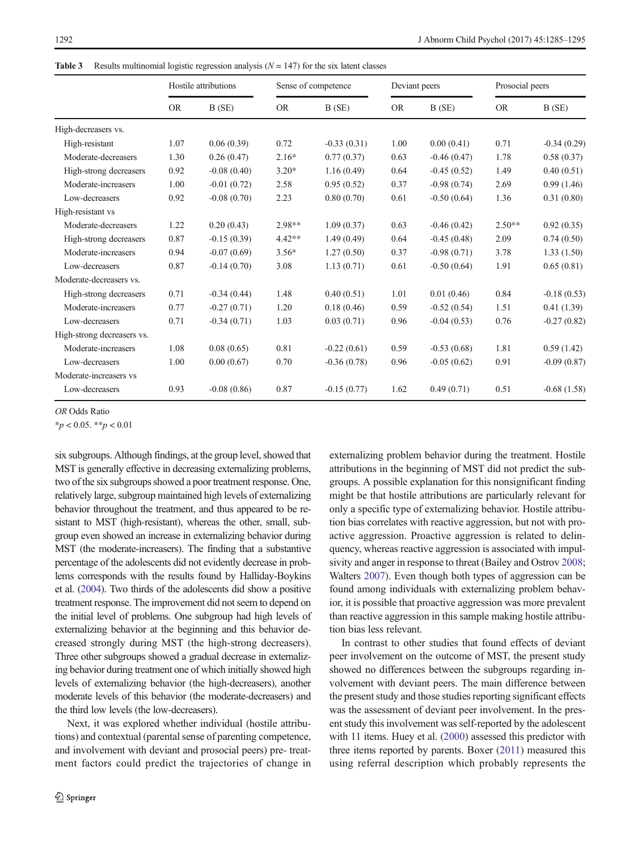#### <span id="page-8-0"></span>**Table 3** Results multinomial logistic regression analysis  $(N = 147)$  for the six latent classes

|                            | Hostile attributions |               | Sense of competence |               |           | Deviant peers |           | Prosocial peers |  |
|----------------------------|----------------------|---------------|---------------------|---------------|-----------|---------------|-----------|-----------------|--|
|                            | <b>OR</b>            | B(SE)         | <b>OR</b>           | B(SE)         | <b>OR</b> | B(SE)         | <b>OR</b> | B(SE)           |  |
| High-decreasers vs.        |                      |               |                     |               |           |               |           |                 |  |
| High-resistant             | 1.07                 | 0.06(0.39)    | 0.72                | $-0.33(0.31)$ | 1.00      | 0.00(0.41)    | 0.71      | $-0.34(0.29)$   |  |
| Moderate-decreasers        | 1.30                 | 0.26(0.47)    | $2.16*$             | 0.77(0.37)    | 0.63      | $-0.46(0.47)$ | 1.78      | 0.58(0.37)      |  |
| High-strong decreasers     | 0.92                 | $-0.08(0.40)$ | $3.20*$             | 1.16(0.49)    | 0.64      | $-0.45(0.52)$ | 1.49      | 0.40(0.51)      |  |
| Moderate-increasers        | 1.00                 | $-0.01(0.72)$ | 2.58                | 0.95(0.52)    | 0.37      | $-0.98(0.74)$ | 2.69      | 0.99(1.46)      |  |
| Low-decreasers             | 0.92                 | $-0.08(0.70)$ | 2.23                | 0.80(0.70)    | 0.61      | $-0.50(0.64)$ | 1.36      | 0.31(0.80)      |  |
| High-resistant vs          |                      |               |                     |               |           |               |           |                 |  |
| Moderate-decreasers        | 1.22                 | 0.20(0.43)    | 2.98**              | 1.09(0.37)    | 0.63      | $-0.46(0.42)$ | $2.50**$  | 0.92(0.35)      |  |
| High-strong decreasers     | 0.87                 | $-0.15(0.39)$ | $4.42**$            | 1.49(0.49)    | 0.64      | $-0.45(0.48)$ | 2.09      | 0.74(0.50)      |  |
| Moderate-increasers        | 0.94                 | $-0.07(0.69)$ | $3.56*$             | 1.27(0.50)    | 0.37      | $-0.98(0.71)$ | 3.78      | 1.33(1.50)      |  |
| Low-decreasers             | 0.87                 | $-0.14(0.70)$ | 3.08                | 1.13(0.71)    | 0.61      | $-0.50(0.64)$ | 1.91      | 0.65(0.81)      |  |
| Moderate-decreasers vs.    |                      |               |                     |               |           |               |           |                 |  |
| High-strong decreasers     | 0.71                 | $-0.34(0.44)$ | 1.48                | 0.40(0.51)    | 1.01      | 0.01(0.46)    | 0.84      | $-0.18(0.53)$   |  |
| Moderate-increasers        | 0.77                 | $-0.27(0.71)$ | 1.20                | 0.18(0.46)    | 0.59      | $-0.52(0.54)$ | 1.51      | 0.41(1.39)      |  |
| Low-decreasers             | 0.71                 | $-0.34(0.71)$ | 1.03                | 0.03(0.71)    | 0.96      | $-0.04(0.53)$ | 0.76      | $-0.27(0.82)$   |  |
| High-strong decreasers vs. |                      |               |                     |               |           |               |           |                 |  |
| Moderate-increasers        | 1.08                 | 0.08(0.65)    | 0.81                | $-0.22(0.61)$ | 0.59      | $-0.53(0.68)$ | 1.81      | 0.59(1.42)      |  |
| Low-decreasers             | 1.00                 | 0.00(0.67)    | 0.70                | $-0.36(0.78)$ | 0.96      | $-0.05(0.62)$ | 0.91      | $-0.09(0.87)$   |  |
| Moderate-increasers vs     |                      |               |                     |               |           |               |           |                 |  |
| Low-decreasers             | 0.93                 | $-0.08(0.86)$ | 0.87                | $-0.15(0.77)$ | 1.62      | 0.49(0.71)    | 0.51      | $-0.68(1.58)$   |  |

OR Odds Ratio

 $*_{p}$  < 0.05. \*\*p < 0.01

six subgroups. Although findings, at the group level, showed that MST is generally effective in decreasing externalizing problems, two of the six subgroups showed a poor treatment response. One, relatively large, subgroup maintained high levels of externalizing behavior throughout the treatment, and thus appeared to be resistant to MST (high-resistant), whereas the other, small, subgroup even showed an increase in externalizing behavior during MST (the moderate-increasers). The finding that a substantive percentage of the adolescents did not evidently decrease in problems corresponds with the results found by Halliday-Boykins et al. [\(2004\)](#page-10-0). Two thirds of the adolescents did show a positive treatment response. The improvement did not seem to depend on the initial level of problems. One subgroup had high levels of externalizing behavior at the beginning and this behavior decreased strongly during MST (the high-strong decreasers). Three other subgroups showed a gradual decrease in externalizing behavior during treatment one of which initially showed high levels of externalizing behavior (the high-decreasers), another moderate levels of this behavior (the moderate-decreasers) and the third low levels (the low-decreasers).

Next, it was explored whether individual (hostile attributions) and contextual (parental sense of parenting competence, and involvement with deviant and prosocial peers) pre- treatment factors could predict the trajectories of change in externalizing problem behavior during the treatment. Hostile attributions in the beginning of MST did not predict the subgroups. A possible explanation for this nonsignificant finding might be that hostile attributions are particularly relevant for only a specific type of externalizing behavior. Hostile attribution bias correlates with reactive aggression, but not with proactive aggression. Proactive aggression is related to delinquency, whereas reactive aggression is associated with impulsivity and anger in response to threat (Bailey and Ostrov [2008;](#page-10-0) Walters [2007\)](#page-11-0). Even though both types of aggression can be found among individuals with externalizing problem behavior, it is possible that proactive aggression was more prevalent than reactive aggression in this sample making hostile attribution bias less relevant.

In contrast to other studies that found effects of deviant peer involvement on the outcome of MST, the present study showed no differences between the subgroups regarding involvement with deviant peers. The main difference between the present study and those studies reporting significant effects was the assessment of deviant peer involvement. In the present study this involvement was self-reported by the adolescent with 11 items. Huey et al. [\(2000](#page-11-0)) assessed this predictor with three items reported by parents. Boxer [\(2011\)](#page-10-0) measured this using referral description which probably represents the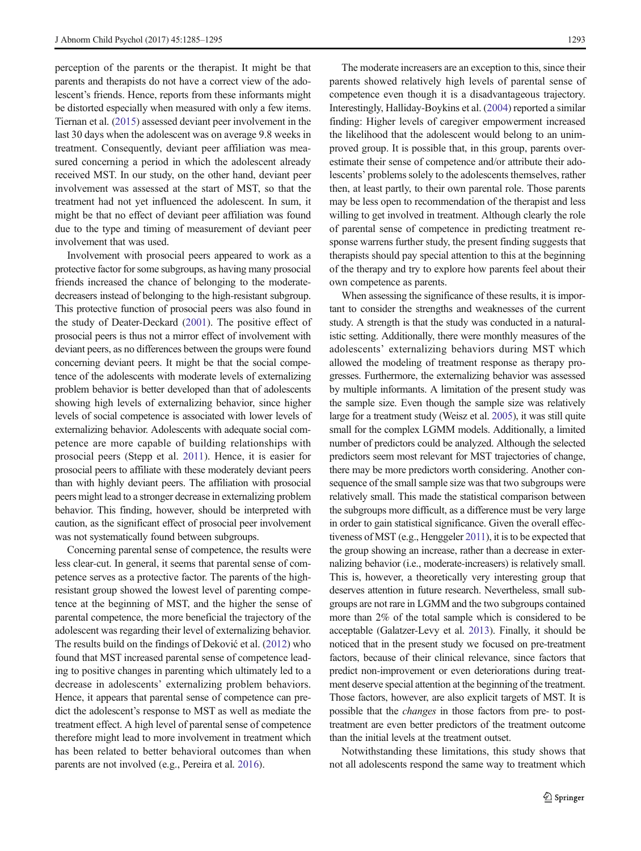perception of the parents or the therapist. It might be that parents and therapists do not have a correct view of the adolescent's friends. Hence, reports from these informants might be distorted especially when measured with only a few items. Tiernan et al. [\(2015\)](#page-11-0) assessed deviant peer involvement in the last 30 days when the adolescent was on average 9.8 weeks in treatment. Consequently, deviant peer affiliation was measured concerning a period in which the adolescent already received MST. In our study, on the other hand, deviant peer involvement was assessed at the start of MST, so that the treatment had not yet influenced the adolescent. In sum, it might be that no effect of deviant peer affiliation was found due to the type and timing of measurement of deviant peer involvement that was used.

Involvement with prosocial peers appeared to work as a protective factor for some subgroups, as having many prosocial friends increased the chance of belonging to the moderatedecreasers instead of belonging to the high-resistant subgroup. This protective function of prosocial peers was also found in the study of Deater-Deckard ([2001](#page-10-0)). The positive effect of prosocial peers is thus not a mirror effect of involvement with deviant peers, as no differences between the groups were found concerning deviant peers. It might be that the social competence of the adolescents with moderate levels of externalizing problem behavior is better developed than that of adolescents showing high levels of externalizing behavior, since higher levels of social competence is associated with lower levels of externalizing behavior. Adolescents with adequate social competence are more capable of building relationships with prosocial peers (Stepp et al. [2011\)](#page-11-0). Hence, it is easier for prosocial peers to affiliate with these moderately deviant peers than with highly deviant peers. The affiliation with prosocial peers might lead to a stronger decrease in externalizing problem behavior. This finding, however, should be interpreted with caution, as the significant effect of prosocial peer involvement was not systematically found between subgroups.

Concerning parental sense of competence, the results were less clear-cut. In general, it seems that parental sense of competence serves as a protective factor. The parents of the highresistant group showed the lowest level of parenting competence at the beginning of MST, and the higher the sense of parental competence, the more beneficial the trajectory of the adolescent was regarding their level of externalizing behavior. The results build on the findings of Deković et al. [\(2012\)](#page-10-0) who found that MST increased parental sense of competence leading to positive changes in parenting which ultimately led to a decrease in adolescents' externalizing problem behaviors. Hence, it appears that parental sense of competence can predict the adolescent's response to MST as well as mediate the treatment effect. A high level of parental sense of competence therefore might lead to more involvement in treatment which has been related to better behavioral outcomes than when parents are not involved (e.g., Pereira et al. [2016\)](#page-11-0).

The moderate increasers are an exception to this, since their parents showed relatively high levels of parental sense of competence even though it is a disadvantageous trajectory. Interestingly, Halliday-Boykins et al. ([2004](#page-10-0)) reported a similar finding: Higher levels of caregiver empowerment increased the likelihood that the adolescent would belong to an unimproved group. It is possible that, in this group, parents overestimate their sense of competence and/or attribute their adolescents' problems solely to the adolescents themselves, rather then, at least partly, to their own parental role. Those parents may be less open to recommendation of the therapist and less willing to get involved in treatment. Although clearly the role of parental sense of competence in predicting treatment response warrens further study, the present finding suggests that therapists should pay special attention to this at the beginning of the therapy and try to explore how parents feel about their own competence as parents.

When assessing the significance of these results, it is important to consider the strengths and weaknesses of the current study. A strength is that the study was conducted in a naturalistic setting. Additionally, there were monthly measures of the adolescents' externalizing behaviors during MST which allowed the modeling of treatment response as therapy progresses. Furthermore, the externalizing behavior was assessed by multiple informants. A limitation of the present study was the sample size. Even though the sample size was relatively large for a treatment study (Weisz et al. [2005\)](#page-11-0), it was still quite small for the complex LGMM models. Additionally, a limited number of predictors could be analyzed. Although the selected predictors seem most relevant for MST trajectories of change, there may be more predictors worth considering. Another consequence of the small sample size was that two subgroups were relatively small. This made the statistical comparison between the subgroups more difficult, as a difference must be very large in order to gain statistical significance. Given the overall effectiveness of MST (e.g., Henggeler [2011\)](#page-11-0), it is to be expected that the group showing an increase, rather than a decrease in externalizing behavior (i.e., moderate-increasers) is relatively small. This is, however, a theoretically very interesting group that deserves attention in future research. Nevertheless, small subgroups are not rare in LGMM and the two subgroups contained more than 2% of the total sample which is considered to be acceptable (Galatzer-Levy et al. [2013\)](#page-10-0). Finally, it should be noticed that in the present study we focused on pre-treatment factors, because of their clinical relevance, since factors that predict non-improvement or even deteriorations during treatment deserve special attention at the beginning of the treatment. Those factors, however, are also explicit targets of MST. It is possible that the changes in those factors from pre- to posttreatment are even better predictors of the treatment outcome than the initial levels at the treatment outset.

Notwithstanding these limitations, this study shows that not all adolescents respond the same way to treatment which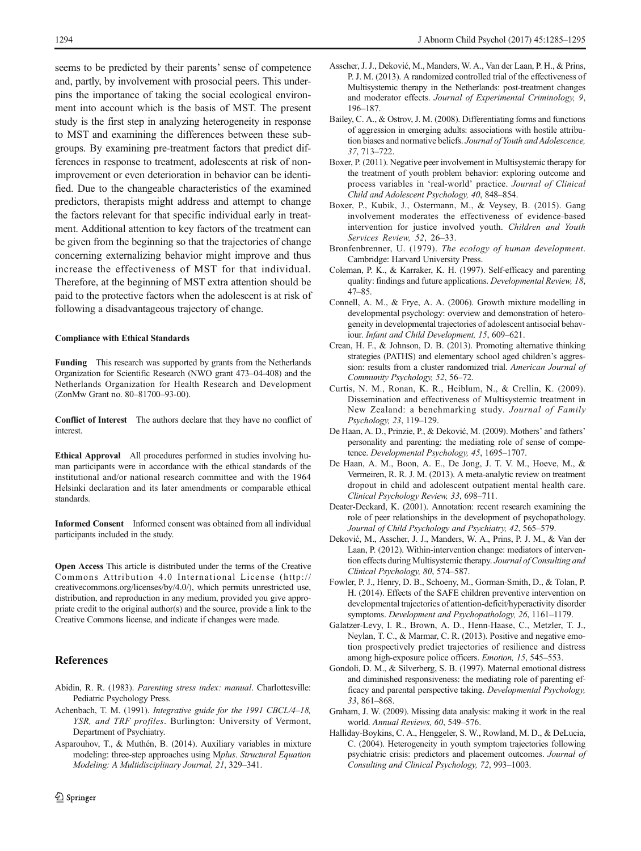<span id="page-10-0"></span>seems to be predicted by their parents' sense of competence and, partly, by involvement with prosocial peers. This underpins the importance of taking the social ecological environment into account which is the basis of MST. The present study is the first step in analyzing heterogeneity in response to MST and examining the differences between these subgroups. By examining pre-treatment factors that predict differences in response to treatment, adolescents at risk of nonimprovement or even deterioration in behavior can be identified. Due to the changeable characteristics of the examined predictors, therapists might address and attempt to change the factors relevant for that specific individual early in treatment. Additional attention to key factors of the treatment can be given from the beginning so that the trajectories of change concerning externalizing behavior might improve and thus increase the effectiveness of MST for that individual. Therefore, at the beginning of MST extra attention should be paid to the protective factors when the adolescent is at risk of following a disadvantageous trajectory of change.

#### Compliance with Ethical Standards

Funding This research was supported by grants from the Netherlands Organization for Scientific Research (NWO grant 473–04-408) and the Netherlands Organization for Health Research and Development (ZonMw Grant no. 80–81700–93-00).

Conflict of Interest The authors declare that they have no conflict of interest.

Ethical Approval All procedures performed in studies involving human participants were in accordance with the ethical standards of the institutional and/or national research committee and with the 1964 Helsinki declaration and its later amendments or comparable ethical standards.

Informed Consent Informed consent was obtained from all individual participants included in the study.

Open Access This article is distributed under the terms of the Creative Commons Attribution 4.0 International License (http:// creativecommons.org/licenses/by/4.0/), which permits unrestricted use, distribution, and reproduction in any medium, provided you give appropriate credit to the original author(s) and the source, provide a link to the Creative Commons license, and indicate if changes were made.

#### References

- Achenbach, T. M. (1991). Integrative guide for the 1991 CBCL/4-18, YSR, and TRF profiles. Burlington: University of Vermont, Department of Psychiatry.
- Asparouhov, T., & Muthén, B. (2014). Auxiliary variables in mixture modeling: three-step approaches using Mplus. Structural Equation Modeling: A Multidisciplinary Journal, 21, 329–341.
- Asscher, J. J., Deković, M., Manders, W. A., Van der Laan, P. H., & Prins, P. J. M. (2013). A randomized controlled trial of the effectiveness of Multisystemic therapy in the Netherlands: post-treatment changes and moderator effects. Journal of Experimental Criminology, 9, 196–187.
- Bailey, C. A., & Ostrov, J. M. (2008). Differentiating forms and functions of aggression in emerging adults: associations with hostile attribution biases and normative beliefs. Journal of Youth and Adolescence, 37, 713–722.
- Boxer, P. (2011). Negative peer involvement in Multisystemic therapy for the treatment of youth problem behavior: exploring outcome and process variables in 'real-world' practice. Journal of Clinical Child and Adolescent Psychology, 40, 848–854.
- Boxer, P., Kubik, J., Ostermann, M., & Veysey, B. (2015). Gang involvement moderates the effectiveness of evidence-based intervention for justice involved youth. Children and Youth Services Review, 52, 26–33.
- Bronfenbrenner, U. (1979). The ecology of human development. Cambridge: Harvard University Press.
- Coleman, P. K., & Karraker, K. H. (1997). Self-efficacy and parenting quality: findings and future applications. Developmental Review, 18, 47–85.
- Connell, A. M., & Frye, A. A. (2006). Growth mixture modelling in developmental psychology: overview and demonstration of heterogeneity in developmental trajectories of adolescent antisocial behaviour. Infant and Child Development, 15, 609–621.
- Crean, H. F., & Johnson, D. B. (2013). Promoting alternative thinking strategies (PATHS) and elementary school aged children's aggression: results from a cluster randomized trial. American Journal of Community Psychology, 52, 56–72.
- Curtis, N. M., Ronan, K. R., Heiblum, N., & Crellin, K. (2009). Dissemination and effectiveness of Multisystemic treatment in New Zealand: a benchmarking study. Journal of Family Psychology, 23, 119–129.
- De Haan, A. D., Prinzie, P., & Deković, M. (2009). Mothers' and fathers' personality and parenting: the mediating role of sense of competence. Developmental Psychology, 45, 1695–1707.
- De Haan, A. M., Boon, A. E., De Jong, J. T. V. M., Hoeve, M., & Vermeiren, R. R. J. M. (2013). A meta-analytic review on treatment dropout in child and adolescent outpatient mental health care. Clinical Psychology Review, 33, 698–711.
- Deater-Deckard, K. (2001). Annotation: recent research examining the role of peer relationships in the development of psychopathology. Journal of Child Psychology and Psychiatry, 42, 565–579.
- Deković, M., Asscher, J. J., Manders, W. A., Prins, P. J. M., & Van der Laan, P. (2012). Within-intervention change: mediators of intervention effects during Multisystemic therapy. Journal of Consulting and Clinical Psychology, 80, 574–587.
- Fowler, P. J., Henry, D. B., Schoeny, M., Gorman-Smith, D., & Tolan, P. H. (2014). Effects of the SAFE children preventive intervention on developmental trajectories of attention-deficit/hyperactivity disorder symptoms. Development and Psychopathology, 26, 1161–1179.
- Galatzer-Levy, I. R., Brown, A. D., Henn-Haase, C., Metzler, T. J., Neylan, T. C., & Marmar, C. R. (2013). Positive and negative emotion prospectively predict trajectories of resilience and distress among high-exposure police officers. Emotion, 15, 545–553.
- Gondoli, D. M., & Silverberg, S. B. (1997). Maternal emotional distress and diminished responsiveness: the mediating role of parenting efficacy and parental perspective taking. Developmental Psychology, 33, 861–868.
- Graham, J. W. (2009). Missing data analysis: making it work in the real world. Annual Reviews, 60, 549–576.
- Halliday-Boykins, C. A., Henggeler, S. W., Rowland, M. D., & DeLucia, C. (2004). Heterogeneity in youth symptom trajectories following psychiatric crisis: predictors and placement outcomes. Journal of Consulting and Clinical Psychology, 72, 993–1003.